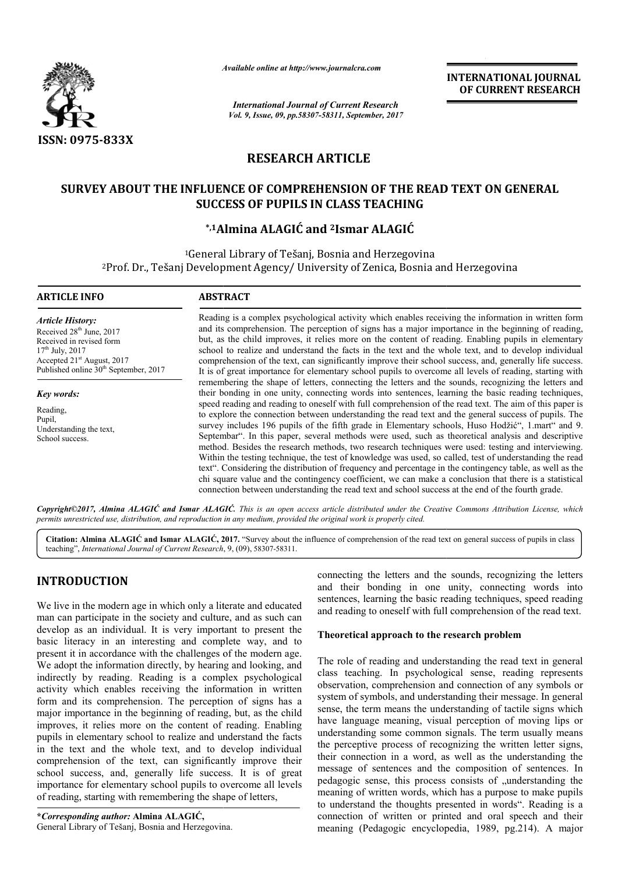

*Available online at http://www.journal http://www.journalcra.com*

*International Journal of Current Research Vol. 9, Issue, 09, pp.58307-58311, September, 2017* **INTERNATIONAL JOURNAL OF CURRENT RESEARCH** 

# **RESEARCH ARTICLE**

# **SURVEY ABOUT THE INFLUENCE OF COMPREHENSION OF THE READ TEXT ON GENERAL SUCCESS OF PUPILS IN CLASS TEACHING**

# **\*,1Almina ALAGIĆ and Almina 2Ismar ALAGIĆ**

<sup>1</sup>General Library of Tešanj, Bosnia and Herzegovina <sup>2</sup>Prof. Dr., Tešanj Development Agency/ University of Zenica, Bosnia and Herzegovina

#### **ARTICLE INFO ABSTRACT**

*Article History:* Received 28<sup>th</sup> June, 2017 Received in revised form  $17^{th}$  July,  $2017$ Accepted 21<sup>st</sup> August, 2017 Published online 30<sup>th</sup> September, 2017

*Key words:*

Reading, Pupil, Understanding the text, School success.

Reading is a complex psychological activity which enables receiving the information in written form and its comprehension. The perception of signs has a major importance in the beginning of reading, Reading is a complex psychological activity which enables receiving the information in written form and its comprehension. The perception of signs has a major importance in the beginning of reading, but, as the child impro school to realize and understand the facts in the text and the whole text, and to develop individual comprehension of the text, can significantly improve their school success, and, generally life success. It is of great importance for elementary school pupils to overcome all levels of reading, starting with remembering the shape of letters, connecting the letters and the sounds, recognizing the letters and their bonding in one unity, connecting words into sentences, learning the basic reading techniques, comprehension of the text, can significantly improve their school success, and, generally life success.<br>It is of great importance for elementary school pupils to overcome all levels of reading, starting with<br>remembering th to explore the connection between understanding the read text and the general success of pupils. The to explore the connection between understanding the read text and the general success of pupils. The survey includes 196 pupils of the fifth grade in Elementary schools, Huso Hodžić", 1.mart" and 9. Septembar Septembar". In this paper, several methods were used, such as theoretical analysis and descriptive method. Besides the research methods, two research techniques were used: testing and interviewing. Within the testing technique, the test of knowledge was used, so called, test of understanding the read text". Considering the distribution of frequency and percentage in the contingency table, as well as the chi square value and the contingency coefficient, we can make a conclusion that there is a statistical connection between understanding the read text and school success at the end of the fourth grade. Septembar". In this paper, several methods were used, such as theoretical analysis and descriptive method. Besides the research methods, two research techniques were used: testing and interviewing. Within the testing techn text". Considering the distribution of frequency and percentage in the contingency table, as well as chi square value and the contingency coefficient, we can make a conclusion that there is a statistic connection between u **INTERNATIONAL JOURNAL OF CURRENT RESEARCH**<br> **OF CURRENT RESEARCH**<br> **OF CURRENT RESEARCH**<br> **G**<br> **SECUTE TON GENERAL**<br> **G**<br> **SECUTE TON GENERAL**<br> **G**<br> **SECUTE TON GENERAL**<br> **C**<br> **SECUTE TON GENERAL**<br> **C**<br> **SECUTE TON GENER** 

*Copyright©2017, Almina ALAGIĆ and Ismar ALAGIĆ ALAGIĆ. This is an open access article distributed under the Creative Commons Att access Attribution License, which permits unrestricted use, distribution, and reproduction in any medium, provided the original work is properly cited.*

Citation: Almina ALAGIC and Ismar ALAGIC, 2017. "Survey about the influence of comprehension of the read text on general success of pupils in class teaching", *International Journal of Current Research* , 9, (09), 58307-58311.

# **INTRODUCTION**

We live in the modern age in which only a literate and educated man can participate in the society and culture, and as such can develop as an individual. It is very important to present the basic literacy in an interesting and complete way, and to present it in accordance with the challenges of the modern age. We adopt the information directly, by hearing and looking, and indirectly by reading. Reading is a complex psychological activity which enables receiving the information in written form and its comprehension. The perception of signs has a major importance in the beginning of reading, but, as the child improves, it relies more on the content of reading. Enabling pupils in elementary school to realize and understand the facts in the text and the whole text, and to develop individual comprehension of the text, can significantly improve their school success, and, generally life success. It is of great importance for elementary school pupils to overcome all levels of reading, starting with remembering the shape of letters, xt, and to devertion<br>an significantly<br>y life success.<br>ol pupils to overting the shape<br>**LAGIĆ**,<br>**LAGIĆ**,

connecting the letters and the sounds, recognizing the letters and their bonding in one unity, connecting words into sentences, learning the basic reading techniques, speed reading and reading to oneself with full comprehension of the read text. letters and the sounds, recognizing the letters<br>ding in one unity, connecting words into<br>ing the basic reading techniques, speed reading

## **Theoretical approach to the research problem**

The role of reading and understanding the read text in general The role of reading and understanding the read text in general class teaching. In psychological sense, reading represents observation, comprehension and connection of any symbols or observation, comprehension and connection of any symbols or system of symbols, and understanding their message. In general sense, the term means the understanding of tactile signs which sense, the term means the understanding of tactile signs which have language meaning, visual perception of moving lips or understanding some common signals. The term usually means the perceptive process of recognizing the written letter signs, their connection in a word, as well as the understanding the message of sentences and the composition of sentences. In pedagogic sense, this process consists of "understanding the meaning of written words, which has a purpose to make pupils to understand the thoughts presented in words". connection of written or printed and oral speech and their meaning (Pedagogic encyclopedia, 1989, pg.214). A major we process of recognizing the written letter signs, extion in a word, as well as the understanding the sentences and the composition of sentences. In ense, this process consists of "understanding the written words, which h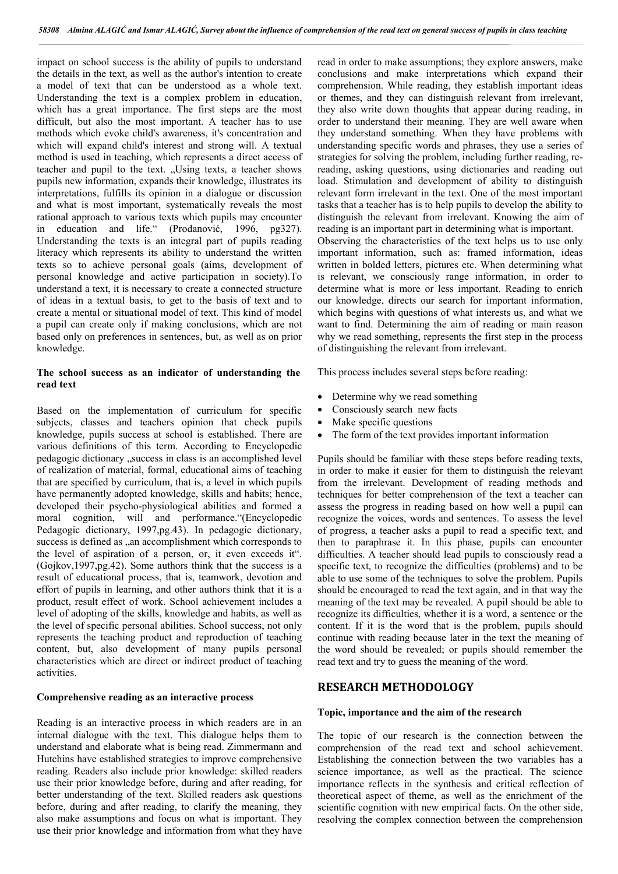impact on school success is the ability of pupils to understand the details in the text, as well as the author's intention to create a model of text that can be understood as a whole text. Understanding the text is a complex problem in education, which has a great importance. The first steps are the most difficult, but also the most important. A teacher has to use methods which evoke child's awareness, it's concentration and which will expand child's interest and strong will. A textual method is used in teaching, which represents a direct access of teacher and pupil to the text. "Using texts, a teacher shows pupils new information, expands their knowledge, illustrates its interpretations, fulfills its opinion in a dialogue or discussion and what is most important, systematically reveals the most rational approach to various texts which pupils may encounter in education and life." (Prodanović, 1996, pg327). Understanding the texts is an integral part of pupils reading literacy which represents its ability to understand the written texts so to achieve personal goals (aims, development of personal knowledge and active participation in society).To understand a text, it is necessary to create a connected structure of ideas in a textual basis, to get to the basis of text and to create a mental or situational model of text. This kind of model a pupil can create only if making conclusions, which are not based only on preferences in sentences, but, as well as on prior knowledge.

## **The school success as an indicator of understanding the read text**

Based on the implementation of curriculum for specific subjects, classes and teachers opinion that check pupils knowledge, pupils success at school is established. There are various definitions of this term. According to Encyclopedic pedagogic dictionary "success in class is an accomplished level of realization of material, formal, educational aims of teaching that are specified by curriculum, that is, a level in which pupils have permanently adopted knowledge, skills and habits; hence, developed their psycho-physiological abilities and formed a moral cognition, will and performance."(Encyclopedic Pedagogic dictionary, 1997,pg.43). In pedagogic dictionary, success is defined as  $\alpha$  an accomplishment which corresponds to the level of aspiration of a person, or, it even exceeds it". (Gojkov,1997,pg.42). Some authors think that the success is a result of educational process, that is, teamwork, devotion and effort of pupils in learning, and other authors think that it is a product, result effect of work. School achievement includes a level of adopting of the skills, knowledge and habits, as well as the level of specific personal abilities. School success, not only represents the teaching product and reproduction of teaching content, but, also development of many pupils personal characteristics which are direct or indirect product of teaching activities.

## **Comprehensive reading as an interactive process**

Reading is an interactive process in which readers are in an internal dialogue with the text. This dialogue helps them to understand and elaborate what is being read. Zimmermann and Hutchins have established strategies to improve comprehensive reading. Readers also include prior knowledge: skilled readers use their prior knowledge before, during and after reading, for better understanding of the text. Skilled readers ask questions before, during and after reading, to clarify the meaning, they also make assumptions and focus on what is important. They use their prior knowledge and information from what they have

read in order to make assumptions; they explore answers, make conclusions and make interpretations which expand their comprehension. While reading, they establish important ideas or themes, and they can distinguish relevant from irrelevant, they also write down thoughts that appear during reading, in order to understand their meaning. They are well aware when they understand something. When they have problems with understanding specific words and phrases, they use a series of strategies for solving the problem, including further reading, rereading, asking questions, using dictionaries and reading out load. Stimulation and development of ability to distinguish relevant form irrelevant in the text. One of the most important tasks that a teacher has is to help pupils to develop the ability to distinguish the relevant from irrelevant. Knowing the aim of reading is an important part in determining what is important. Observing the characteristics of the text helps us to use only important information, such as: framed information, ideas written in bolded letters, pictures etc. When determining what is relevant, we consciously range information, in order to determine what is more or less important. Reading to enrich our knowledge, directs our search for important information, which begins with questions of what interests us, and what we want to find. Determining the aim of reading or main reason why we read something, represents the first step in the process of distinguishing the relevant from irrelevant.

This process includes several steps before reading:

- Determine why we read something
- Consciously search new facts
- Make specific questions
- The form of the text provides important information

Pupils should be familiar with these steps before reading texts, in order to make it easier for them to distinguish the relevant from the irrelevant. Development of reading methods and techniques for better comprehension of the text a teacher can assess the progress in reading based on how well a pupil can recognize the voices, words and sentences. To assess the level of progress, a teacher asks a pupil to read a specific text, and then to paraphrase it. In this phase, pupils can encounter difficulties. A teacher should lead pupils to consciously read a specific text, to recognize the difficulties (problems) and to be able to use some of the techniques to solve the problem. Pupils should be encouraged to read the text again, and in that way the meaning of the text may be revealed. A pupil should be able to recognize its difficulties, whether it is a word, a sentence or the content. If it is the word that is the problem, pupils should continue with reading because later in the text the meaning of the word should be revealed; or pupils should remember the read text and try to guess the meaning of the word.

## **RESEARCH METHODOLOGY**

#### **Topic, importance and the aim of the research**

The topic of our research is the connection between the comprehension of the read text and school achievement. Establishing the connection between the two variables has a science importance, as well as the practical. The science importance reflects in the synthesis and critical reflection of theoretical aspect of theme, as well as the enrichment of the scientific cognition with new empirical facts. On the other side, resolving the complex connection between the comprehension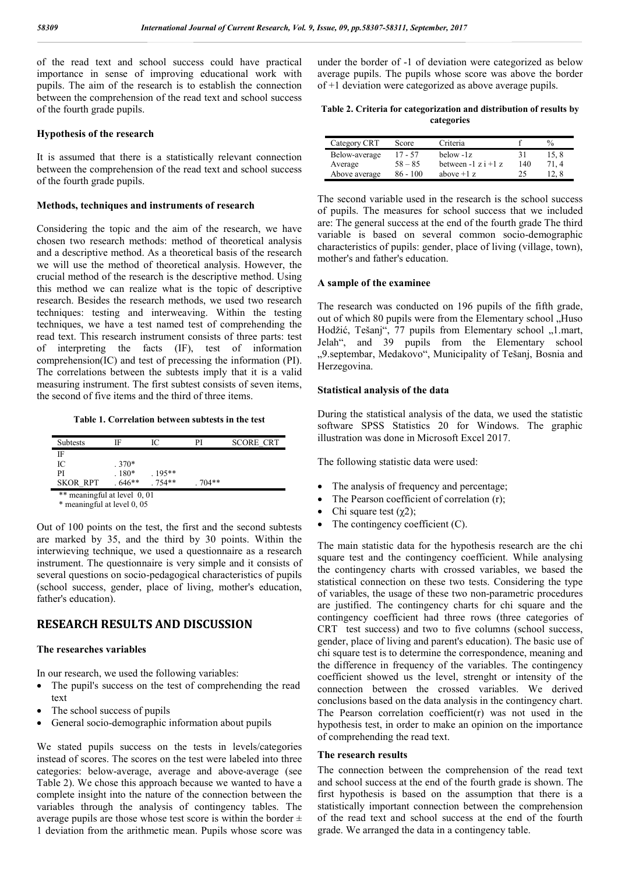of the read text and school success could have practical importance in sense of improving educational work with pupils. The aim of the research is to establish the connection between the comprehension of the read text and school success of the fourth grade pupils.

#### **Hypothesis of the research**

It is assumed that there is a statistically relevant connection between the comprehension of the read text and school success of the fourth grade pupils.

#### **Methods, techniques and instruments of research**

Considering the topic and the aim of the research, we have chosen two research methods: method of theoretical analysis and a descriptive method. As a theoretical basis of the research we will use the method of theoretical analysis. However, the crucial method of the research is the descriptive method. Using this method we can realize what is the topic of descriptive research. Besides the research methods, we used two research techniques: testing and interweaving. Within the testing techniques, we have a test named test of comprehending the read text. This research instrument consists of three parts: test of interpreting the facts (IF), test of information comprehension(IC) and test of precessing the information (PI). The correlations between the subtests imply that it is a valid measuring instrument. The first subtest consists of seven items, the second of five items and the third of three items.

**Table 1. Correlation between subtests in the test**

| Subtests                     | IF       | IС       | PI      | <b>SCORE CRT</b> |  |
|------------------------------|----------|----------|---------|------------------|--|
| IF                           |          |          |         |                  |  |
| IС                           | $.370*$  |          |         |                  |  |
| PI                           | $.180*$  | $.195**$ |         |                  |  |
| <b>SKOR RPT</b>              | $.646**$ | 754**    | $704**$ |                  |  |
| ** meaningful at level 0, 01 |          |          |         |                  |  |

\* meaningful at level 0, 05

Out of 100 points on the test, the first and the second subtests are marked by 35, and the third by 30 points. Within the interwieving technique, we used a questionnaire as a research instrument. The questionnaire is very simple and it consists of several questions on socio-pedagogical characteristics of pupils (school success, gender, place of living, mother's education, father's education).

# **RESEARCH RESULTS AND DISCUSSION**

#### **The researches variables**

In our research, we used the following variables:

- The pupil's success on the test of comprehending the read text
- The school success of pupils
- General socio-demographic information about pupils

We stated pupils success on the tests in levels/categories instead of scores. The scores on the test were labeled into three categories: below-average, average and above-average (see Table 2). We chose this approach because we wanted to have a complete insight into the nature of the connection between the variables through the analysis of contingency tables. The average pupils are those whose test score is within the border  $\pm$ 1 deviation from the arithmetic mean. Pupils whose score was

under the border of -1 of deviation were categorized as below average pupils. The pupils whose score was above the border of +1 deviation were categorized as above average pupils.

| Table 2. Criteria for categorization and distribution of results by |  |
|---------------------------------------------------------------------|--|
| categories                                                          |  |

| Category CRT  | Score      | Criteria               |     | $\frac{0}{0}$ |
|---------------|------------|------------------------|-----|---------------|
| Below-average | $17 - 57$  | below -1z              |     | 15,8          |
| Average       | $58 - 85$  | between $-1 z i + 1 z$ | 140 | 71.4          |
| Above average | $86 - 100$ | above $+1$ z           | 25  | 12.8          |

The second variable used in the research is the school success of pupils. The measures for school success that we included are: The general success at the end of the fourth grade The third variable is based on several common socio-demographic characteristics of pupils: gender, place of living (village, town), mother's and father's education.

#### **A sample of the examinee**

The research was conducted on 196 pupils of the fifth grade, out of which 80 pupils were from the Elementary school "Huso Hodžić, Tešanj", 77 pupils from Elementary school "1.mart, Jelah", and 39 pupils from the Elementary school "9.septembar, Medakovo", Municipality of Tešanj, Bosnia and Herzegovina.

## **Statistical analysis of the data**

During the statistical analysis of the data, we used the statistic software SPSS Statistics 20 for Windows. The graphic illustration was done in Microsoft Excel 2017.

The following statistic data were used:

- The analysis of frequency and percentage;
- The Pearson coefficient of correlation (r);
- Chi square test  $(χ2)$ ;
- The contingency coefficient (C).

The main statistic data for the hypothesis research are the chi square test and the contingency coefficient. While analysing the contingency charts with crossed variables, we based the statistical connection on these two tests. Considering the type of variables, the usage of these two non-parametric procedures are justified. The contingency charts for chi square and the contingency coefficient had three rows (three categories of CRT test success) and two to five columns (school success, gender, place of living and parent's education). The basic use of chi square test is to determine the correspondence, meaning and the difference in frequency of the variables. The contingency coefficient showed us the level, strenght or intensity of the connection between the crossed variables. We derived conclusions based on the data analysis in the contingency chart. The Pearson correlation coefficient(r) was not used in the hypothesis test, in order to make an opinion on the importance of comprehending the read text.

#### **The research results**

The connection between the comprehension of the read text and school success at the end of the fourth grade is shown. The first hypothesis is based on the assumption that there is a statistically important connection between the comprehension of the read text and school success at the end of the fourth grade. We arranged the data in a contingency table.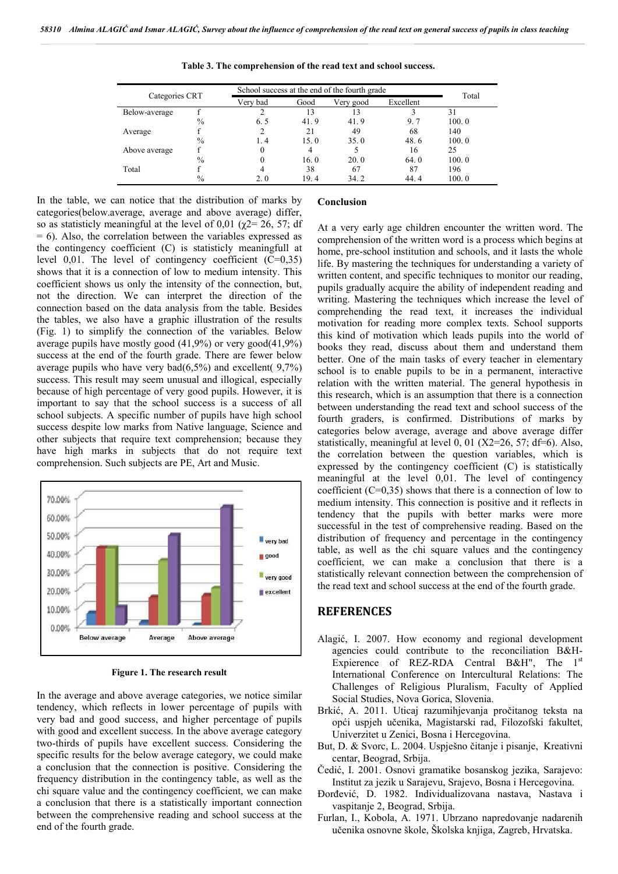| Categories CRT |               |          | School success at the end of the fourth grade |           |           |       |
|----------------|---------------|----------|-----------------------------------------------|-----------|-----------|-------|
|                |               | Verv bad | Good                                          | Very good | Excellent | Total |
| Below-average  |               |          | 13                                            |           |           | 31    |
|                | $\frac{0}{0}$ | 6.5      | 41.9                                          | 41.9      | 9.7       | 100.0 |
| Average        |               | 2        | 21                                            | 49        | 68        | 140   |
|                | $\frac{0}{0}$ | 1.4      | 15.0                                          | 35.0      | 48.6      | 100.0 |
| Above average  |               | 0        | 4                                             |           | 16        | 25    |
|                | $\frac{0}{0}$ | 0        | 16.0                                          | 20.0      | 64.0      | 100.0 |
| Total          |               |          | 38                                            | 67        | 87        | 196   |
|                | $\%$          | 2.0      | 19.4                                          | 34.2      | 44.4      | 100.0 |

**Table 3. The comprehension of the read text and school success.**

In the table, we can notice that the distribution of marks by categories(below.average, average and above average) differ, so as statisticly meaningful at the level of 0.01 ( $\gamma$ 2= 26, 57; df  $= 6$ ). Also, the correlation between the variables expressed as the contingency coefficient (C) is statisticly meaningfull at level  $0.01$ . The level of contingency coefficient  $(C=0.35)$ shows that it is a connection of low to medium intensity. This coefficient shows us only the intensity of the connection, but, not the direction. We can interpret the direction of the connection based on the data analysis from the table. Besides the tables, we also have a graphic illustration of the results (Fig. 1) to simplify the connection of the variables. Below average pupils have mostly good (41,9%) or very good(41,9%) success at the end of the fourth grade. There are fewer below average pupils who have very bad $(6,5\%)$  and excellent(  $9,7\%$ ) success. This result may seem unusual and illogical, especially because of high percentage of very good pupils. However, it is important to say that the school success is a success of all school subjects. A specific number of pupils have high school success despite low marks from Native language, Science and other subjects that require text comprehension; because they have high marks in subjects that do not require text comprehension. Such subjects are PE, Art and Music.



**Figure 1. The research result**

In the average and above average categories, we notice similar tendency, which reflects in lower percentage of pupils with very bad and good success, and higher percentage of pupils with good and excellent success. In the above average category two-thirds of pupils have excellent success. Considering the specific results for the below average category, we could make a conclusion that the connection is positive. Considering the frequency distribution in the contingency table, as well as the chi square value and the contingency coefficient, we can make a conclusion that there is a statistically important connection between the comprehensive reading and school success at the end of the fourth grade.

#### **Conclusion**

At a very early age children encounter the written word. The comprehension of the written word is a process which begins at home, pre-school institution and schools, and it lasts the whole life. By mastering the techniques for understanding a variety of written content, and specific techniques to monitor our reading, pupils gradually acquire the ability of independent reading and writing. Mastering the techniques which increase the level of comprehending the read text, it increases the individual motivation for reading more complex texts. School supports this kind of motivation which leads pupils into the world of books they read, discuss about them and understand them better. One of the main tasks of every teacher in elementary school is to enable pupils to be in a permanent, interactive relation with the written material. The general hypothesis in this research, which is an assumption that there is a connection between understanding the read text and school success of the fourth graders, is confirmed. Distributions of marks by categories below average, average and above average differ statistically, meaningful at level 0, 01  $(X2=26, 57; df=6)$ . Also, the correlation between the question variables, which is expressed by the contingency coefficient (C) is statistically meaningful at the level 0,01. The level of contingency coefficient  $(C=0,35)$  shows that there is a connection of low to medium intensity. This connection is positive and it reflects in tendency that the pupils with better marks were more successful in the test of comprehensive reading. Based on the distribution of frequency and percentage in the contingency table, as well as the chi square values and the contingency coefficient, we can make a conclusion that there is a statistically relevant connection between the comprehension of the read text and school success at the end of the fourth grade.

## **REFERENCES**

- Alagić, I. 2007. How economy and regional development agencies could contribute to the reconciliation B&H-Expierence of REZ-RDA Central B&H", The  $1<sup>st</sup>$ International Conference on Intercultural Relations: The Challenges of Religious Pluralism, Faculty of Applied Social Studies, Nova Gorica, Slovenia.
- Brkić, A. 2011. Uticaj razumihjevanja pročitanog teksta na opći uspjeh učenika, Magistarski rad, Filozofski fakultet, Univerzitet u Zenici, Bosna i Hercegovina.
- But, D. & Svorc, L. 2004. Uspješno čitanje i pisanje, Kreativni centar, Beograd, Srbija.
- Čedić, I. 2001. Osnovi gramatike bosanskog jezika, Sarajevo: Institut za jezik u Sarajevu, Srajevo, Bosna i Hercegovina.
- Đorđević, D. 1982. Individualizovana nastava, Nastava i vaspitanje 2, Beograd, Srbija.
- Furlan, I., Kobola, A. 1971. Ubrzano napredovanje nadarenih učenika osnovne škole, Školska knjiga, Zagreb, Hrvatska.